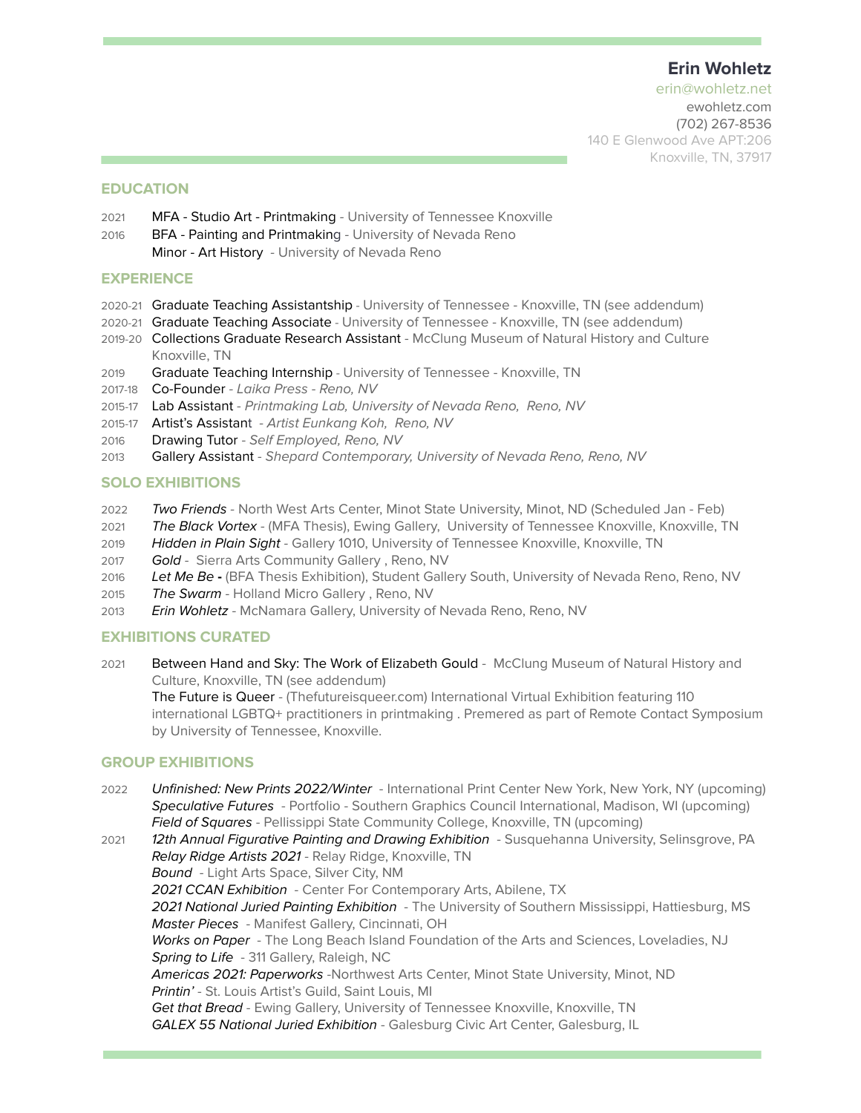## **Erin Wohletz**

erin@wohletz.net ewohletz.com (702) 267-8536 140 E Glenwood Ave APT:206 Knoxville, TN, 37917

#### **EDUCATION**

- 2021 MFA Studio Art Printmaking University of Tennessee Knoxville
- 2016 BFA Painting and Printmaking University of Nevada Reno Minor - Art History - University of Nevada Reno

#### **EXPERIENCE**

- 2020-21 Graduate Teaching Assistantship University of Tennessee Knoxville, TN (see addendum)
- 2020-21 Graduate Teaching Associate University of Tennessee Knoxville, TN (see addendum)
- 2019-20 Collections Graduate Research Assistant McClung Museum of Natural History and Culture Knoxville, TN
- 2019 Graduate Teaching Internship University of Tennessee Knoxville, TN
- 2017-18 Co-Founder Laika Press Reno, NV
- 2015-17 Lab Assistant Printmaking Lab, University of Nevada Reno, Reno, NV
- 2015-17 Artist's Assistant Artist Eunkang Koh, Reno, NV
- 2016 Drawing Tutor Self Employed, Reno, NV
- 2013 Gallery Assistant Shepard Contemporary, University of Nevada Reno, Reno, NV

#### **SOLO EXHIBITIONS**

- 2022 Two Friends North West Arts Center, Minot State University, Minot, ND (Scheduled Jan Feb)
- 2021 The Black Vortex (MFA Thesis), Ewing Gallery, University of Tennessee Knoxville, Knoxville, TN
- 2019 Hidden in Plain Sight Gallery 1010, University of Tennessee Knoxville, Knoxville, TN
- 2017 Gold Sierra Arts Community Gallery, Reno, NV
- 2016 Let Me Be **-** (BFA Thesis Exhibition), Student Gallery South, University of Nevada Reno, Reno, NV
- 2015 The Swarm Holland Micro Gallery, Reno, NV
- 2013 Erin Wohletz McNamara Gallery, University of Nevada Reno, Reno, NV

#### **EXHIBITIONS CURATED**

2021 Between Hand and Sky: The Work of Elizabeth Gould - McClung Museum of Natural History and Culture, Knoxville, TN (see addendum)

The Future is Queer - (Thefutureisqueer.com) International Virtual Exhibition featuring 110 international LGBTQ+ practitioners in printmaking . Premered as part of Remote Contact Symposium by University of Tennessee, Knoxville.

#### **GROUP EXHIBITIONS**

2022 Unfinished: New Prints 2022/Winter - International Print Center New York, New York, NY (upcoming) Speculative Futures - Portfolio - Southern Graphics Council International, Madison, WI (upcoming) Field of Squares - Pellissippi State Community College, Knoxville, TN (upcoming)

2021 12th Annual Figurative Painting and Drawing Exhibition - Susquehanna University, Selinsgrove, PA Relay Ridge Artists 2021 - Relay Ridge, Knoxville, TN Bound - Light Arts Space, Silver City, NM 2021 CCAN Exhibition - Center For Contemporary Arts, Abilene, TX 2021 National Juried Painting Exhibition - The University of Southern Mississippi, Hattiesburg, MS Master Pieces - Manifest Gallery, Cincinnati, OH Works on Paper - The Long Beach Island Foundation of the Arts and Sciences, Loveladies, NJ Spring to Life - 311 Gallery, Raleigh, NC Americas 2021: Paperworks -Northwest Arts Center, Minot State University, Minot, ND Printin' - St. Louis Artist's Guild, Saint Louis, MI Get that Bread - Ewing Gallery, University of Tennessee Knoxville, Knoxville, TN GALEX 55 National Juried Exhibition - Galesburg Civic Art Center, Galesburg, IL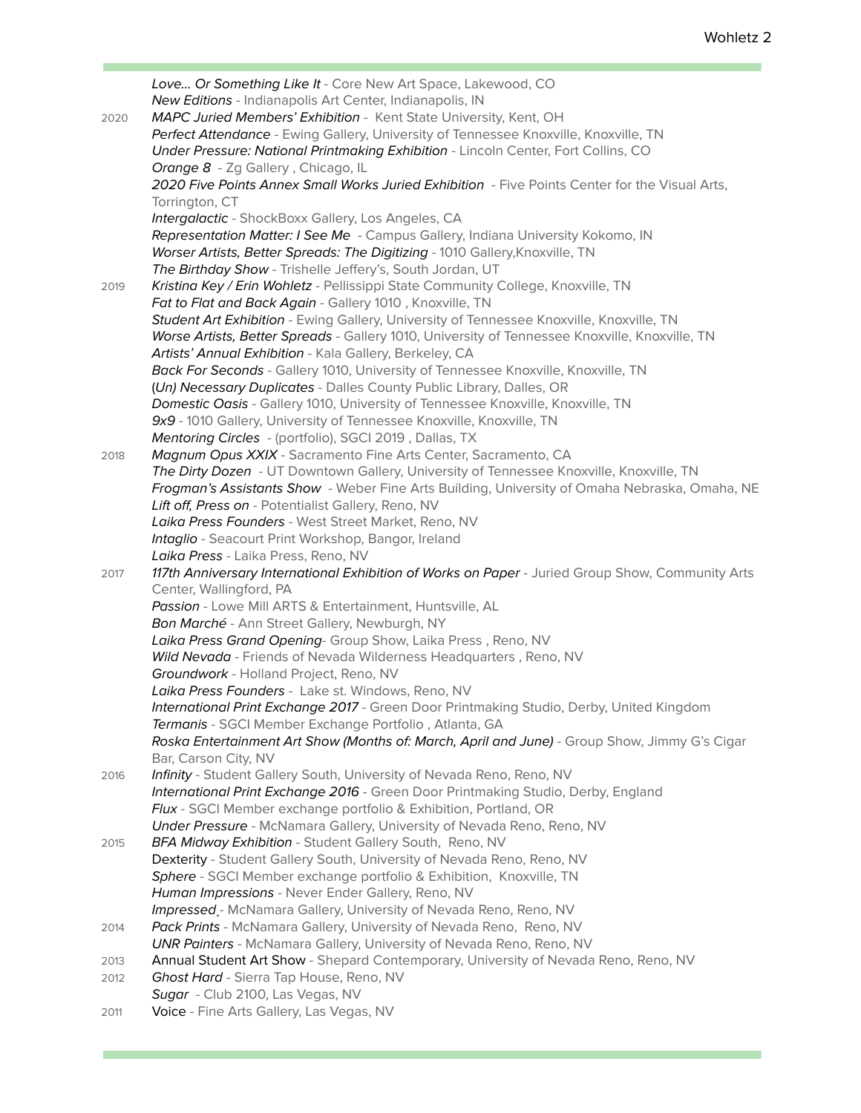|      | Love Or Something Like It - Core New Art Space, Lakewood, CO                                                                                            |
|------|---------------------------------------------------------------------------------------------------------------------------------------------------------|
|      | New Editions - Indianapolis Art Center, Indianapolis, IN                                                                                                |
| 2020 | MAPC Juried Members' Exhibition - Kent State University, Kent, OH                                                                                       |
|      | Perfect Attendance - Ewing Gallery, University of Tennessee Knoxville, Knoxville, TN                                                                    |
|      | Under Pressure: National Printmaking Exhibition - Lincoln Center, Fort Collins, CO                                                                      |
|      | Orange 8 - Zg Gallery, Chicago, IL                                                                                                                      |
|      | 2020 Five Points Annex Small Works Juried Exhibition - Five Points Center for the Visual Arts,                                                          |
|      | Torrington, CT                                                                                                                                          |
|      | Intergalactic - ShockBoxx Gallery, Los Angeles, CA                                                                                                      |
|      | Representation Matter: I See Me - Campus Gallery, Indiana University Kokomo, IN                                                                         |
|      | Worser Artists, Better Spreads: The Digitizing - 1010 Gallery, Knoxville, TN                                                                            |
|      | The Birthday Show - Trishelle Jeffery's, South Jordan, UT                                                                                               |
| 2019 | Kristina Key / Erin Wohletz - Pellissippi State Community College, Knoxville, TN                                                                        |
|      | Fat to Flat and Back Again - Gallery 1010, Knoxville, TN                                                                                                |
|      | Student Art Exhibition - Ewing Gallery, University of Tennessee Knoxville, Knoxville, TN                                                                |
|      | Worse Artists, Better Spreads - Gallery 1010, University of Tennessee Knoxville, Knoxville, TN                                                          |
|      | Artists' Annual Exhibition - Kala Gallery, Berkeley, CA                                                                                                 |
|      | Back For Seconds - Gallery 1010, University of Tennessee Knoxville, Knoxville, TN                                                                       |
|      |                                                                                                                                                         |
|      | (Un) Necessary Duplicates - Dalles County Public Library, Dalles, OR<br>Domestic Oasis - Gallery 1010, University of Tennessee Knoxville, Knoxville, TN |
|      |                                                                                                                                                         |
|      | 9x9 - 1010 Gallery, University of Tennessee Knoxville, Knoxville, TN                                                                                    |
|      | Mentoring Circles - (portfolio), SGCI 2019, Dallas, TX                                                                                                  |
| 2018 | Magnum Opus XXIX - Sacramento Fine Arts Center, Sacramento, CA                                                                                          |
|      | The Dirty Dozen - UT Downtown Gallery, University of Tennessee Knoxville, Knoxville, TN                                                                 |
|      | Frogman's Assistants Show - Weber Fine Arts Building, University of Omaha Nebraska, Omaha, NE                                                           |
|      | Lift off, Press on - Potentialist Gallery, Reno, NV                                                                                                     |
|      | Laika Press Founders - West Street Market, Reno, NV                                                                                                     |
|      | Intaglio - Seacourt Print Workshop, Bangor, Ireland                                                                                                     |
|      | Laika Press - Laika Press, Reno, NV                                                                                                                     |
| 2017 | 117th Anniversary International Exhibition of Works on Paper - Juried Group Show, Community Arts                                                        |
|      | Center, Wallingford, PA                                                                                                                                 |
|      | Passion - Lowe Mill ARTS & Entertainment, Huntsville, AL                                                                                                |
|      | Bon Marché - Ann Street Gallery, Newburgh, NY                                                                                                           |
|      | Laika Press Grand Opening- Group Show, Laika Press, Reno, NV                                                                                            |
|      | Wild Nevada - Friends of Nevada Wilderness Headquarters, Reno, NV                                                                                       |
|      | Groundwork - Holland Project, Reno, NV                                                                                                                  |
|      | Laika Press Founders - Lake st. Windows, Reno, NV                                                                                                       |
|      | International Print Exchange 2017 - Green Door Printmaking Studio, Derby, United Kingdom                                                                |
|      | Termanis - SGCI Member Exchange Portfolio, Atlanta, GA                                                                                                  |
|      | Roska Entertainment Art Show (Months of: March, April and June) - Group Show, Jimmy G's Cigar                                                           |
|      | Bar, Carson City, NV                                                                                                                                    |
| 2016 | Infinity - Student Gallery South, University of Nevada Reno, Reno, NV                                                                                   |
|      | International Print Exchange 2016 - Green Door Printmaking Studio, Derby, England                                                                       |
|      | Flux - SGCI Member exchange portfolio & Exhibition, Portland, OR                                                                                        |
|      | Under Pressure - McNamara Gallery, University of Nevada Reno, Reno, NV                                                                                  |
| 2015 | BFA Midway Exhibition - Student Gallery South, Reno, NV                                                                                                 |
|      | Dexterity - Student Gallery South, University of Nevada Reno, Reno, NV                                                                                  |
|      | Sphere - SGCI Member exchange portfolio & Exhibition, Knoxville, TN                                                                                     |
|      | Human Impressions - Never Ender Gallery, Reno, NV                                                                                                       |
|      | Impressed .- McNamara Gallery, University of Nevada Reno, Reno, NV                                                                                      |
| 2014 | Pack Prints - McNamara Gallery, University of Nevada Reno, Reno, NV                                                                                     |
|      | <b>UNR Painters - McNamara Gallery, University of Nevada Reno, Reno, NV</b>                                                                             |
| 2013 | Annual Student Art Show - Shepard Contemporary, University of Nevada Reno, Reno, NV                                                                     |
| 2012 | Ghost Hard - Sierra Tap House, Reno, NV                                                                                                                 |
|      | Sugar - Club 2100, Las Vegas, NV                                                                                                                        |
| 2011 | Voice - Fine Arts Gallery, Las Vegas, NV                                                                                                                |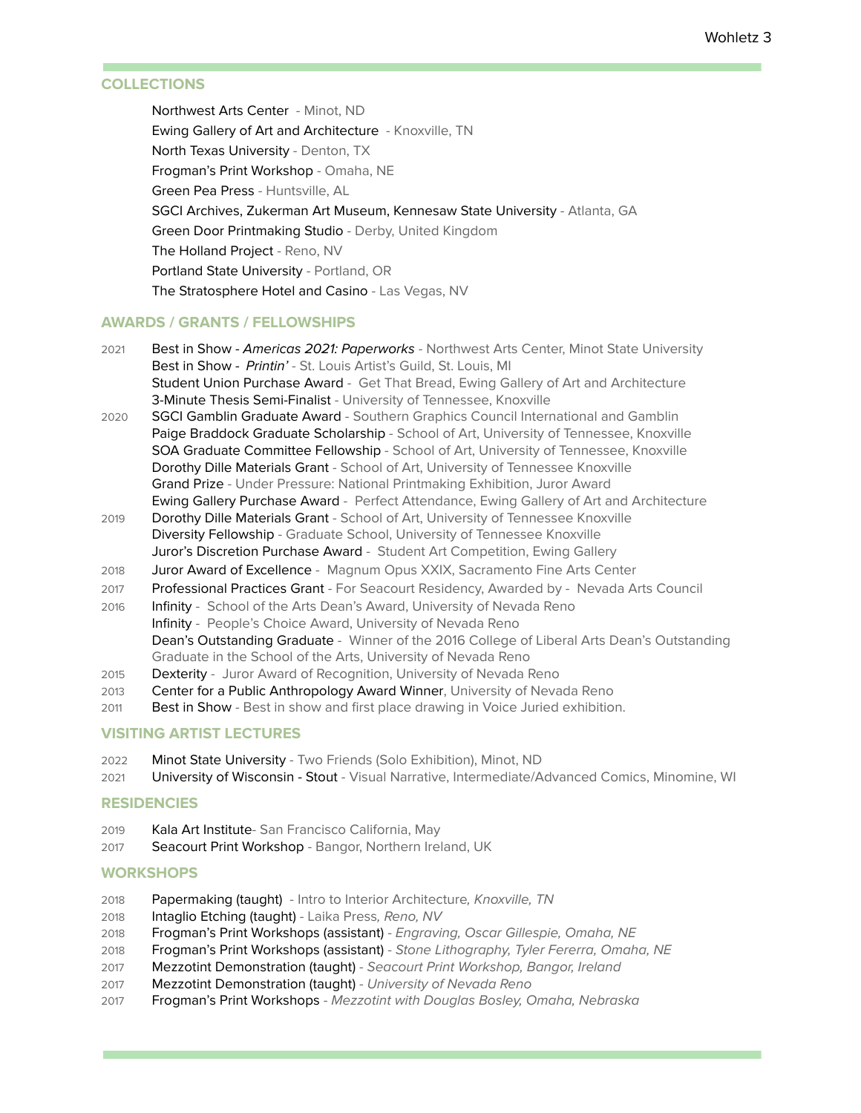## **COLLECTIONS**

Northwest Arts Center - Minot, ND Ewing Gallery of Art and Architecture - Knoxville, TN North Texas University - Denton, TX Frogman's Print Workshop - Omaha, NE Green Pea Press - Huntsville, AL SGCI Archives, Zukerman Art Museum, Kennesaw State University - Atlanta, GA Green Door Printmaking Studio - Derby, United Kingdom The Holland Project - Reno, NV Portland State University - Portland, OR The Stratosphere Hotel and Casino - Las Vegas, NV

#### **AWARDS / GRANTS / FELLOWSHIPS**

- 2021 Best in Show Americas 2021: Paperworks Northwest Arts Center, Minot State University Best in Show - Printin' - St. Louis Artist's Guild, St. Louis, MI Student Union Purchase Award - Get That Bread, Ewing Gallery of Art and Architecture 3-Minute Thesis Semi-Finalist - University of Tennessee, Knoxville
- 2020 SGCI Gamblin Graduate Award Southern Graphics Council International and Gamblin Paige Braddock Graduate Scholarship - School of Art, University of Tennessee, Knoxville SOA Graduate Committee Fellowship - School of Art, University of Tennessee, Knoxville Dorothy Dille Materials Grant - School of Art, University of Tennessee Knoxville Grand Prize - Under Pressure: National Printmaking Exhibition, Juror Award Ewing Gallery Purchase Award - Perfect Attendance, Ewing Gallery of Art and Architecture
- 2019 Dorothy Dille Materials Grant School of Art, University of Tennessee Knoxville Diversity Fellowship - Graduate School, University of Tennessee Knoxville Juror's Discretion Purchase Award - Student Art Competition, Ewing Gallery
- 2018 Juror Award of Excellence Magnum Opus XXIX, Sacramento Fine Arts Center
- 2017 Professional Practices Grant For Seacourt Residency, Awarded by Nevada Arts Council
- 2016 Infinity School of the Arts Dean's Award, University of Nevada Reno Infinity - People's Choice Award, University of Nevada Reno Dean's Outstanding Graduate - Winner of the 2016 College of Liberal Arts Dean's Outstanding Graduate in the School of the Arts, University of Nevada Reno
- 2015 Dexterity Juror Award of Recognition, University of Nevada Reno
- 2013 Center for a Public Anthropology Award Winner, University of Nevada Reno
- 2011 Best in Show Best in show and first place drawing in Voice Juried exhibition.

#### **VISITING ARTIST LECTURES**

- 2022 Minot State University Two Friends (Solo Exhibition), Minot, ND
- 2021 University of Wisconsin Stout Visual Narrative, Intermediate/Advanced Comics, Minomine, WI

#### **RESIDENCIES**

- 2019 Kala Art Institute- San Francisco California, May
- 2017 Seacourt Print Workshop Bangor, Northern Ireland, UK

## **WORKSHOPS**

- 2018 Papermaking (taught) Intro to Interior Architecture, Knoxville, TN
- 2018 Intaglio Etching (taught) Laika Press, Reno, NV
- 2018 Frogman's Print Workshops (assistant) Engraving, Oscar Gillespie, Omaha, NE
- 2018 Frogman's Print Workshops (assistant) Stone Lithography, Tyler Fererra, Omaha, NE
- 2017 Mezzotint Demonstration (taught) Seacourt Print Workshop, Bangor, Ireland
- 2017 Mezzotint Demonstration (taught) University of Nevada Reno
- 2017 Frogman's Print Workshops Mezzotint with Douglas Bosley, Omaha, Nebraska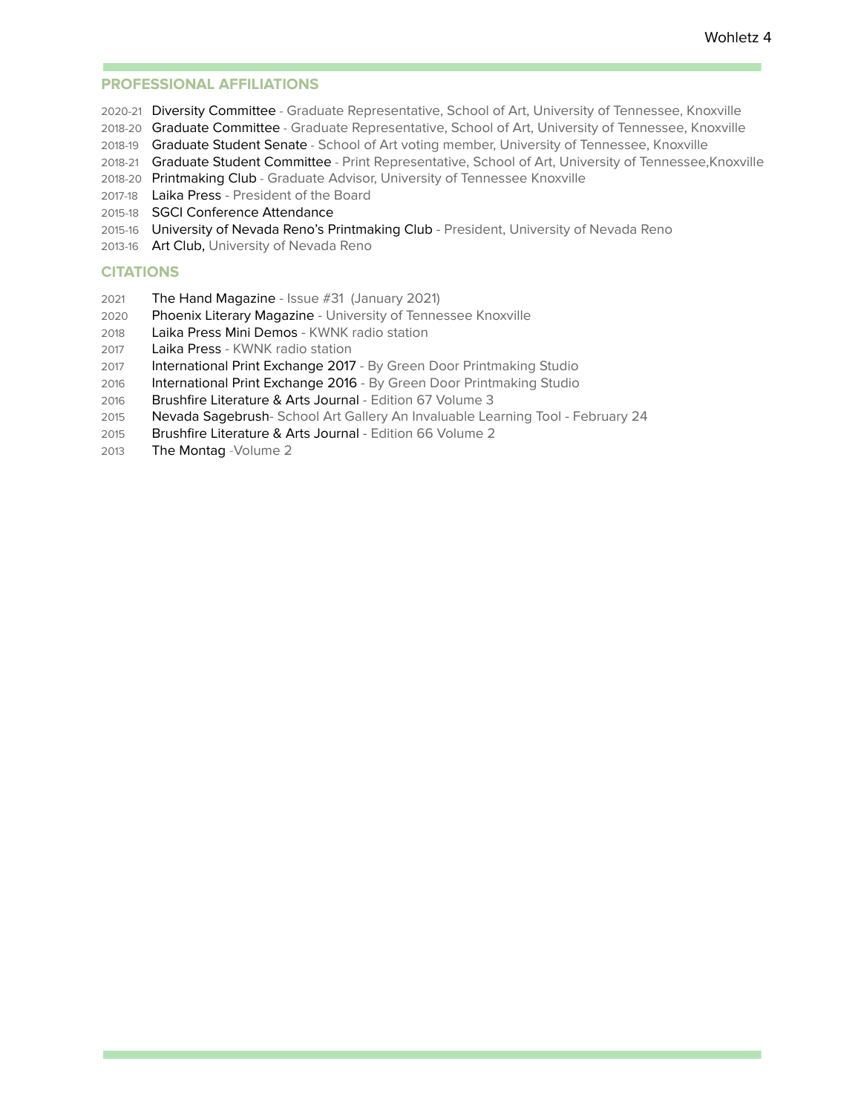#### **PROFESSIONAL AFFILIATIONS**

- 2020-21 Diversity Committee Graduate Representative, School of Art, University of Tennessee, Knoxville
- 2018-20 Graduate Committee Graduate Representative, School of Art, University of Tennessee, Knoxville
- 2018-19 Graduate Student Senate School of Art voting member, University of Tennessee, Knoxville
- 2018-21 Graduate Student Committee Print Representative, School of Art, University of Tennessee, Knoxville
- 2018-20 Printmaking Club Graduate Advisor, University of Tennessee Knoxville
- 2017-18 Laika Press President of the Board
- 2015-18 SGCI Conference Attendance
- 2015-16 University of Nevada Reno's Printmaking Club President, University of Nevada Reno
- 2013-16 Art Club, University of Nevada Reno

#### **CITATIONS**

- 2021 The Hand Magazine Issue #31 (January 2021)
- 2020 Phoenix Literary Magazine University of Tennessee Knoxville
- 2018 Laika Press Mini Demos KWNK radio station
- 2017 Laika Press KWNK radio station
- 2017 International Print Exchange 2017 By Green Door Printmaking Studio
- 2016 International Print Exchange 2016 By Green Door Printmaking Studio
- 2016 Brushfire Literature & Arts Journal Edition 67 Volume 3
- 2015 Nevada Sagebrush- School Art Gallery An Invaluable Learning Tool February 24
- 2015 Brushfire Literature & Arts Journal Edition 66 Volume 2
- 2013 The Montag -Volume 2